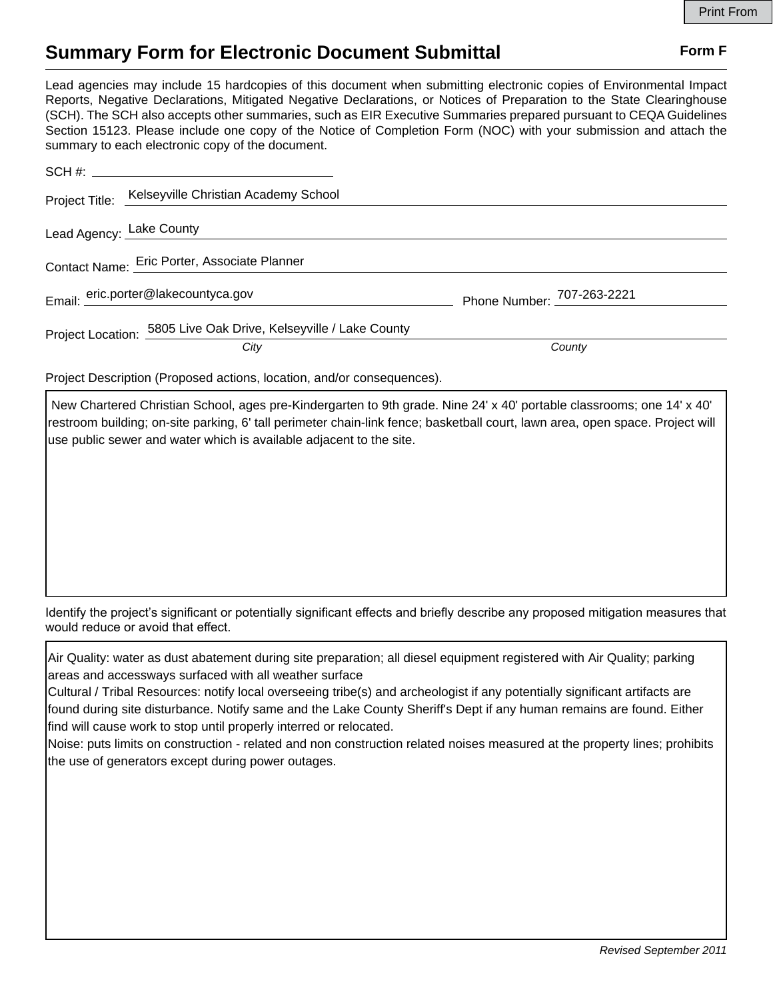## **Summary Form for Electronic Document Submittal Form F Form F**

Lead agencies may include 15 hardcopies of this document when submitting electronic copies of Environmental Impact Reports, Negative Declarations, Mitigated Negative Declarations, or Notices of Preparation to the State Clearinghouse (SCH). The SCH also accepts other summaries, such as EIR Executive Summaries prepared pursuant to CEQA Guidelines Section 15123. Please include one copy of the Notice of Completion Form (NOC) with your submission and attach the summary to each electronic copy of the document.

| Project Title: Kelseyville Christian Academy School              |                            |
|------------------------------------------------------------------|----------------------------|
| Lead Agency: Lake County                                         |                            |
| Contact Name: Eric Porter, Associate Planner                     |                            |
| Email: eric.porter@lakecountyca.gov                              | Phone Number: 707-263-2221 |
| Project Location: 5805 Live Oak Drive, Kelseyville / Lake County |                            |
| City                                                             | County                     |

Project Description (Proposed actions, location, and/or consequences).

 New Chartered Christian School, ages pre-Kindergarten to 9th grade. Nine 24' x 40' portable classrooms; one 14' x 40' restroom building; on-site parking, 6' tall perimeter chain-link fence; basketball court, lawn area, open space. Project will use public sewer and water which is available adjacent to the site.

Identify the project's significant or potentially significant effects and briefly describe any proposed mitigation measures that would reduce or avoid that effect.

Air Quality: water as dust abatement during site preparation; all diesel equipment registered with Air Quality; parking areas and accessways surfaced with all weather surface

Cultural / Tribal Resources: notify local overseeing tribe(s) and archeologist if any potentially significant artifacts are found during site disturbance. Notify same and the Lake County Sheriff's Dept if any human remains are found. Either find will cause work to stop until properly interred or relocated.

Noise: puts limits on construction - related and non construction related noises measured at the property lines; prohibits the use of generators except during power outages.